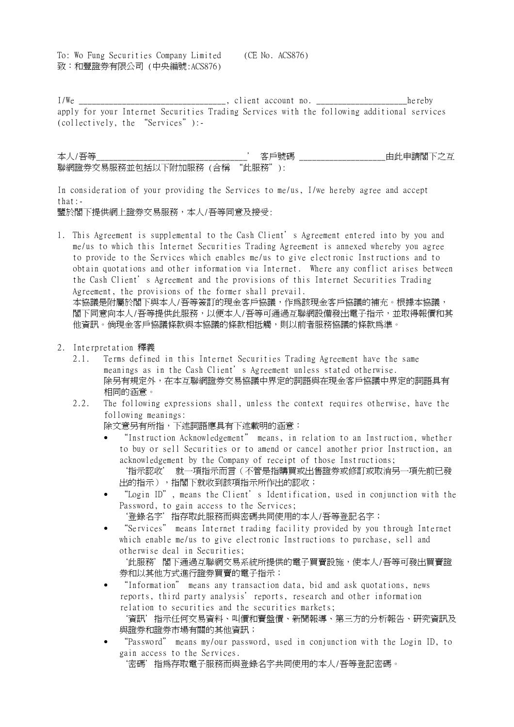To: Wo Fung Securities Company Limited (CE No. ACS876) 致:和豐證券有限公司 (中央編號:ACS876)

I/We \_\_\_\_\_\_\_\_\_\_\_\_\_\_\_\_\_\_\_\_\_\_\_\_\_\_\_\_\_\_\_, client account no. \_\_\_\_\_\_\_\_\_\_\_\_\_\_\_\_\_\_\_\_\_hereby apply for your Internet Securities Trading Services with the following additional services (collectively, the "Services"):-

本人/吾等\_\_\_\_\_\_\_\_\_\_\_\_\_\_\_\_\_\_\_\_\_\_\_\_\_\_\_\_\_\_\_\_\_\_\_' 客戶號碼 \_\_\_\_\_\_\_\_\_\_\_\_\_\_\_\_\_\_\_\_由此申請閣下之互 聯網證券交易服務並包括以下附加服務 (合稱 "此服務"):

In consideration of your providing the Services to me/us, I/we hereby agree and accept that:-

鑒於閣下提供網上證券交易服務,本人/吾等同意及接受:

1. This Agreement is supplemental to the Cash Client's Agreement entered into by you and me/us to which this Internet Securities Trading Agreement is annexed whereby you agree to provide to the Services which enables me/us to give electronic Instructions and to obtain quotations and other information via Internet. Where any conflict arises between the Cash Client's Agreement and the provisions of this Internet Securities Trading Agreement, the provisions of the former shall prevail. 本協議是附屬於閣下與本人/吾等簽訂的現金客戶協議,作爲該現金客戶協議的補充。根據本協議,

閣下同意向本人/吾等提供此服務,以便本人/吾等可通過互聯網設備發出電子指示,並取得報價和其 他資訊。倘現金客戶協議條款與本協議的條款相抵觸,則以前者服務協議的條款爲準。

- 2. Interpretation 釋義
	- 2.1. Terms defined in this Internet Securities Trading Agreement have the same meanings as in the Cash Client's Agreement unless stated otherwise. 除另有規定外,在本互聯網證券交易協議中界定的詞語與在現金客戶協議中界定的詞語具有 相同的涵意。
	- 2.2. The following expressions shall, unless the context requires otherwise, have the following meanings:

除文意另有所指,下述詞語應具有下述載明的涵意:

- "Instruction Acknowledgement" means, in relation to an Instruction, whether to buy or sell Securities or to amend or cancel another prior Instruction, an acknowledgement by the Company of receipt of those Instructions; `指示認收' 就一項指示而言(不管是指購買或出售證券或修訂或取消另一項先前已發 出的指示),指閣下就收到該項指示所作出的認收;
- "Login ID", means the Client's Identification, used in conjunction with the Password, to gain access to the Services; `登錄名字'指存取此服務而與密碼共同使用的本人/吾等登記名字;
- "Services" means Internet trading facility provided by you through Internet which enable me/us to give electronic Instructions to purchase, sell and otherwise deal in Securities;

'此服務'閣下通過互聯網交易系統所提供的電子買賣設施,使本人/吾等可發出買賣證 券和以其他方式進行證券買賣的電子指示;

- "Information" means any transaction data, bid and ask quotations, news reports, third party analysis'reports, research and other information relation to securities and the securities markets;
	- `資訊'指示任何交易資料、叫價和賣盤價、新聞報導、第三方的分析報告、研究資訊及 與證券和證券市場有關的其他資訊;
- "Password" means my/our password, used in conjunction with the Login ID, to gain access to the Services.

`密碼'指為存取電子服務而與登錄名字共同使用的本人/吾等登記密碼。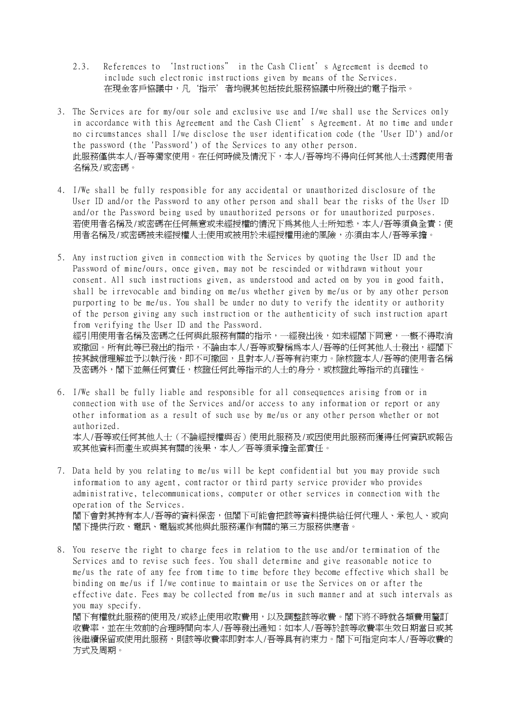- 2.3. References to `Instructions" in the Cash Client's Agreement is deemed to include such electronic instructions given by means of the Services. 在現金客戶協議中,凡'指示'者均視其包括按此服務協議中所發出的電子指示。
- 3. The Services are for my/our sole and exclusive use and I/we shall use the Services only in accordance with this Agreement and the Cash Client's Agreement. At no time and under no circumstances shall I/we disclose the user identification code (the 'User ID') and/or the password (the 'Password') of the Services to any other person. 此服務僅供本人/吾等獨家使用。在任何時候及情況下,本人/吾等均不得向任何其他人士透露使用者 名稱及/或密碼。
- 4. I/We shall be fully responsible for any accidental or unauthorized disclosure of the User ID and/or the Password to any other person and shall bear the risks of the User ID and/or the Password being used by unauthorized persons or for unauthorized purposes. 若使用者名稱及/或密碼在任何無意或未經授權的情況下為其他人士所知悉,本人/吾等須負全責;使 用者名稱及/或密碼被未經授權人士使用或被用於未經授權用途的風險,亦須由本人/吾等承擔。
- 5. Any instruction given in connection with the Services by quoting the User ID and the Password of mine/ours, once given, may not be rescinded or withdrawn without your consent. All such instructions given, as understood and acted on by you in good faith, shall be irrevocable and binding on me/us whether given by me/us or by any other person purporting to be me/us. You shall be under no duty to verify the identity or authority of the person giving any such instruction or the authenticity of such instruction apart from verifying the User ID and the Password. 經引用使用者名稱及密碼之任何與此服務有關的指示,一經發出後,如未經閣下同意,一概不得取消

或撤回。所有此等已發出的指示,不論由本人/吾等或聲稱爲本人/吾等的任何其他人士發出,經閣下 按其誠信理解並予以執行後,即不可撤回,且對本人/吾等有約束力。除核證本人/吾等的使用者名稱 及密碼外,閣下並無任何責任,核證任何此等指示的人士的身分,或核證此等指示的真確性。

- 6. I/We shall be fully liable and responsible for all consequences arising from or in connection with use of the Services and/or access to any information or report or any other information as a result of such use by me/us or any other person whether or not authorized. 本人/吾等或任何其他人士(不論經授權與否)使用此服務及/或因使用此服務而獲得任何資訊或報告 或其他資料而產生或與其有關的後果,本人/吾等須承擔全部責任。
- 7. Data held by you relating to me/us will be kept confidential but you may provide such information to any agent, contractor or third party service provider who provides administrative, telecommunications, computer or other services in connection with the operation of the Services. 閣下會對其持有本人/吾等的資料保密,但閣下可能會把該等資料提供給任何代理人、承包人、或向 閣下提供行政、電訊、電腦或其他與此服務運作有關的第三方服務供應者。
- 8. You reserve the right to charge fees in relation to the use and/or termination of the Services and to revise such fees. You shall determine and give reasonable notice to me/us the rate of any fee from time to time before they become effective which shall be binding on me/us if I/we continue to maintain or use the Services on or after the effective date. Fees may be collected from me/us in such manner and at such intervals as you may specify. 閣下有權就此服務的使用及/或終止使用收取費用,以及調整該等收費。閣下將不時就各類費用釐訂

收費率,並在生效前的合理時間向本人/吾等發出通知;如本人/吾等於該等收費率生效日期當日或其 後繼續保留或使用此服務,則該等收費率即對本人/吾等具有約束力。閣下可指定向本人/吾等收費的 方式及周期。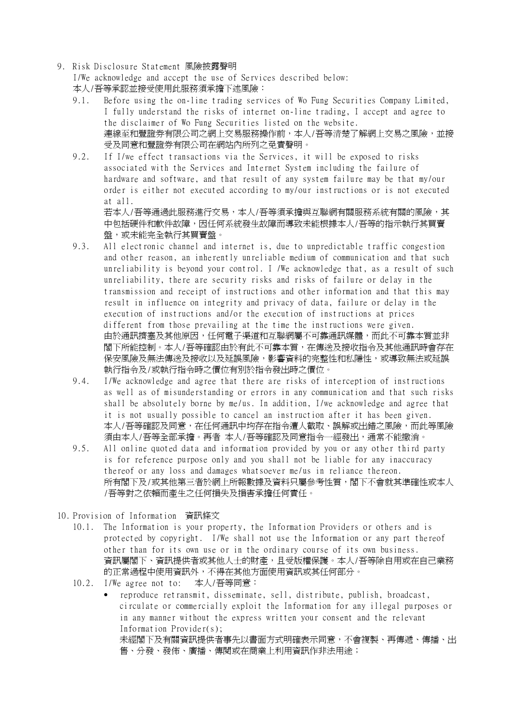9. Risk Disclosure Statement 風險披露聲明

I/We acknowledge and accept the use of Services described below: 本人/吾等承認並接受使用此服務須承擔下述風險:

- 9.1. Before using the on-line trading services of Wo Fung Securities Company Limited, I fully understand the risks of internet on-line trading, I accept and agree to the disclaimer of Wo Fung Securities listed on the website. 連線至和豐證券有限公司之網上交易服務操作前,本人/吾等清楚了解網上交易之風險,並接 受及同意和豐證券有限公司在網站內所列之免責聲明。
- 9.2. If I/we effect transactions via the Services, it will be exposed to risks associated with the Services and Internet System including the failure of hardware and software, and that result of any system failure may be that my/our order is either not executed according to my/our instructions or is not executed at all. 若本人/吾等通過此服務進行交易,本人/吾等須承擔與互聯網有關服務系統有關的風險,其

中包括硬件和軟件故障,因任何系統發生故障而導致未能根據本人/吾等的指示執行其買賣 盤,或未能完全執行其買賣盤。

- 9.3. All electronic channel and internet is, due to unpredictable traffic congestion and other reason, an inherently unreliable medium of communication and that such unreliability is beyond your control. I /We acknowledge that, as a result of such unreliability, there are security risks and risks of failure or delay in the transmission and receipt of instructions and other information and that this may result in influence on integrity and privacy of data, failure or delay in the execution of instructions and/or the execution of instructions at prices different from those prevailing at the time the instructions were given. 由於通訊擠塞及其他原因,任何電子渠道和互聯網屬不可靠通訊媒體,而此不可靠本質並非 閣下所能控制。本人/吾等確認由於有此不可靠本質,在傳送及接收指令及其他通訊時會存在 保安風險及無法傳送及接收以及延誤風險,影響資料的完整性和私隱性,或導致無法或延誤 執行指令及/或執行指令時之價位有別於指令發出時之價位。
- 9.4. I/We acknowledge and agree that there are risks of interception of instructions as well as of misunderstanding or errors in any communication and that such risks shall be absolutely borne by me/us. In addition, I/we acknowledge and agree that it is not usually possible to cancel an instruction after it has been given. 本人/吾等確認及同意,在任何通訊中均存在指令遭人截取、誤解或出錯之風險,而此等風險 須由本人/吾等全部承擔。再者 本人/吾等確認及同意指令一經發出,通常不能撤消。
- 9.5. All online quoted data and information provided by you or any other third party is for reference purpose only and you shall not be liable for any inaccuracy thereof or any loss and damages whatsoever me/us in reliance thereon. 所有閣下及/或其他第三者於網上所報數據及資料只屬參考性質,閣下不會就其準確性或本人 /吾等對之依賴而產生之任何損失及損害承擔任何責任。
- 10. Provision of Information 資訊條文
	- 10.1. The Information is your property, the Information Providers or others and is protected by copyright. I/We shall not use the Information or any part thereof other than for its own use or in the ordinary course of its own business. 資訊屬閣下、資訊提供者或其他人士的財產,且受版權保護。本人/吾等除自用或在自己業務 的正常過程中使用資訊外,不得在其他方面使用資訊或其任何部分。
	- 10.2. I/We agree not to: 本人/吾等同意:
		- reproduce retransmit, disseminate, sell, distribute, publish, broadcast, circulate or commercially exploit the Information for any illegal purposes or in any manner without the express written your consent and the relevant Information Provider(s); 未經閣下及有關資訊提供者事先以書面方式明確表示同意,不會複製、再傳遞、傳播、出 售、分發、發佈、廣播、傳閱或在商業上利用資訊作非法用途;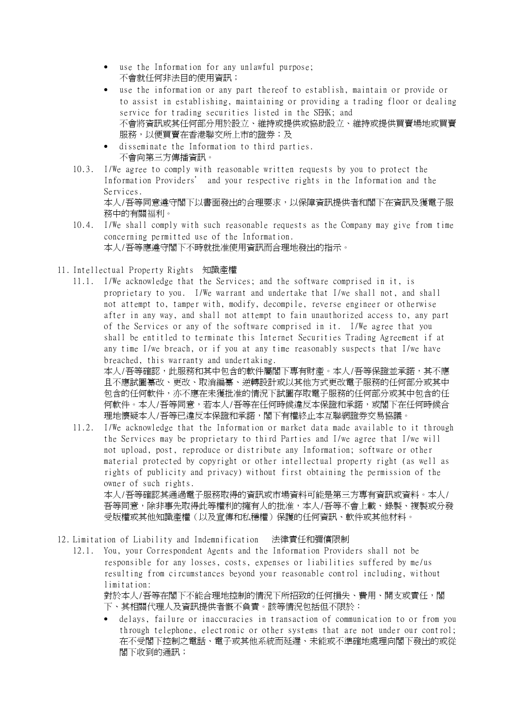- use the Information for any unlawful purpose; 不會就任何非法目的使用資訊;
- use the information or any part thereof to establish, maintain or provide or to assist in establishing, maintaining or providing a trading floor or dealing service for trading securities listed in the SEHK; and 不會將資訊或其任何部分用於設立、維持或提供或協助設立、維持或提供買賣場地或買賣 服務,以便買賣在香港聯交所上市的證券;及
- disseminate the Information to third parties. 不會向第三方傳播資訊。
- 10.3. I/We agree to comply with reasonable written requests by you to protect the Information Providers' and your respective rights in the Information and the Services. 本人/吾等同意遵守閣下以書面發出的合理要求,以保障資訊提供者和閣下在資訊及獲電子服 務中的有關福利。
- 10.4. I/We shall comply with such reasonable requests as the Company may give from time concerning permitted use of the Information. 本人/吾等應遵守閣下不時就批准使用資訊而合理地發出的指示。
- 11. Intellectual Property Rights 知識產權
	- 11.1. I/We acknowledge that the Services; and the software comprised in it, is proprietary to you. I/We warrant and undertake that I/we shall not, and shall not attempt to, tamper with, modify, decompile, reverse engineer or otherwise after in any way, and shall not attempt to fain unauthorized access to, any part of the Services or any of the software comprised in it. I/We agree that you shall be entitled to terminate this Internet Securities Trading Agreement if at any time I/we breach, or if you at any time reasonably suspects that I/we have breached, this warranty and undertaking. 本人/吾等確認,此服務和其中包含的軟件屬閣下專有財產。本人/吾等保證並承諾,其不應 且不應試圖纂改、更改、取消編纂、逆轉設計或以其他方式更改電子服務的任何部分或其中 包含的任何軟件,亦不應在未獲批准的情況下試圖存取電子服務的任何部分或其中包含的任 何軟件。本人/吾等同意,若本人/吾等在任何時候違反本保證和承諾,或閣下在任何時候合
	- 理地懷疑本人/吾等已違反本保證和承諾,閣下有權終止本互聯網證券交易協議。 11.2. I/We acknowledge that the Information or market data made available to it through the Services may be proprietary to third Parties and I/we agree that I/we will not upload, post, reproduce or distribute any Information; software or other material protected by copyright or other intellectual property right (as well as rights of publicity and privacy) without first obtaining the permission of the owner of such rights. 本人/吾等確認其通過電子服務取得的資訊或市場資料可能是第三方專有資訊或資料。本人/

吾等同意,除非事先取得此等權利的擁有人的批准,本人/吾等不會上載、錄製、複製或分發 受版權或其他知識產權(以及宣傳和私穩權)保護的任何資訊、軟件或其他材料。

- 12. Limitation of Liability and Indemnification 法律責任和彌償限制
	- 12.1. You, your Correspondent Agents and the Information Providers shall not be responsible for any losses, costs, expenses or liabilities suffered by me/us resulting from circumstances beyond your reasonable control including, without limitation: 對於本人/吾等在閣下不能合理地控制的情況下所招致的任何損失、費用、開支或責任,閣 下、其相關代理人及資訊提供者慨不負責。該等情況包括但不限於:
		- delays, failure or inaccuracies in transaction of communication to or from you through telephone, electronic or other systems that are not under our control; 在不受閣下控制之電話、電子或其他系統而延遲、未能或不準確地處理向閣下發出的或從 閣下收到的通訊;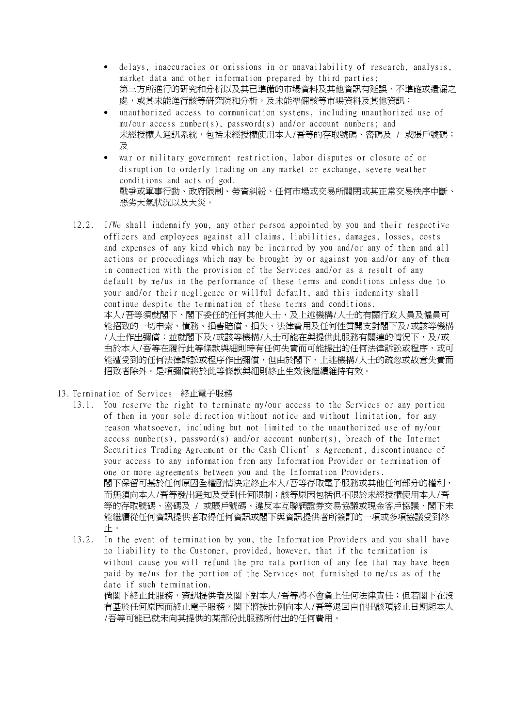- delays, inaccuracies or omissions in or unavailability of research, analysis, market data and other information prepared by third parties; 第三方所進行的研究和分析以及其已準備的市場資料及其他資訊有延誤、不準確或遺漏之 處,或其未能進行該等研究院和分析,及未能準備該等市場資料及其他資訊;
- unauthorized access to communication systems, including unauthorized use of mu/our access number(s), password(s) and/or account numbers; and 未經授權人通訊系統,包括未經授權使用本人/吾等的存取號碼、密碼及 / 或賬戶號碼; 及
- war or military government restriction, labor disputes or closure of or disruption to orderly trading on any market or exchange, severe weather conditions and acts of god. 戰爭或軍事行動、政府限制、勞資糾紛、任何市場或交易所關閉或其正常交易秩序中斷、 惡劣天氣狀況以及天災。
- 12.2. I/We shall indemnify you, any other person appointed by you and their respective officers and employees against all claims, liabilities, damages, losses, costs and expenses of any kind which may be incurred by you and/or any of them and all actions or proceedings which may be brought by or against you and/or any of them in connection with the provision of the Services and/or as a result of any default by me/us in the performance of these terms and conditions unless due to your and/or their negligence or willful default, and this indemnity shall continue despite the termination of these terms and conditions. 本人/吾等須就閣下、閣下委任的任何其他人士,及上述機構/人士的有關行政人員及僱員可 能招致的一切申索、債務、損害賠償、損失、法律費用及任何性質開支對閣下及/或該等機構 /人士作出彌償;並就閣下及/或該等機構/人士可能在與提供此服務有關連的情況下,及/或 由於本人/吾等在履行此等條款與細則時有任何失責而可能提出的任何法律訴訟或程序,或可 能遭受到的任何法律訴訟或程序作出彌償,但由於閣下、上述機構/人士的疏忽或故意失責而 招致者除外。是項彌償將於此等條款與細則終止生效後繼續維持有效。
- 13. Termination of Services 終止電子服務
	- 13.1. You reserve the right to terminate my/our access to the Services or any portion of them in your sole direction without notice and without limitation, for any reason whatsoever, including but not limited to the unauthorized use of my/our access number(s), password(s) and/or account number(s), breach of the Internet Securities Trading Agreement or the Cash Client's Agreement, discontinuance of your access to any information from any Information Provider or termination of one or more agreements between you and the Information Providers. 閣下保留可基於任何原因全權酌情決定終止本人/吾等存取電子服務或其他任何部分的權利, 而無須向本人/吾等發出通知及受到任何限制;該等原因包括但不限於未經授權使用本人/吾 等的存取號碼、密碼及 / 或賬戶號碼、違反本互聯網證券交易協議或現金客戶協議、閣下未 能繼續從任何資訊提供者取得任何資訊或閣下與資訊提供者所簽訂的一項或多項協議受到終 止。
	- 13.2. In the event of termination by you, the Information Providers and you shall have no liability to the Customer, provided, however, that if the termination is without cause you will refund the pro rata portion of any fee that may have been paid by me/us for the portion of the Services not furnished to me/us as of the date if such termination. 倘閣下終止此服務,資訊提供者及閣下對本人/吾等將不會負上任何法律責任;但若閣下在沒 有基於任何原因而終止電子服務,閣下將按比例向本人/吾等退回自作出該項終止日期起本人 /吾等可能已就未向其提供的某部份此服務所付出的任何費用。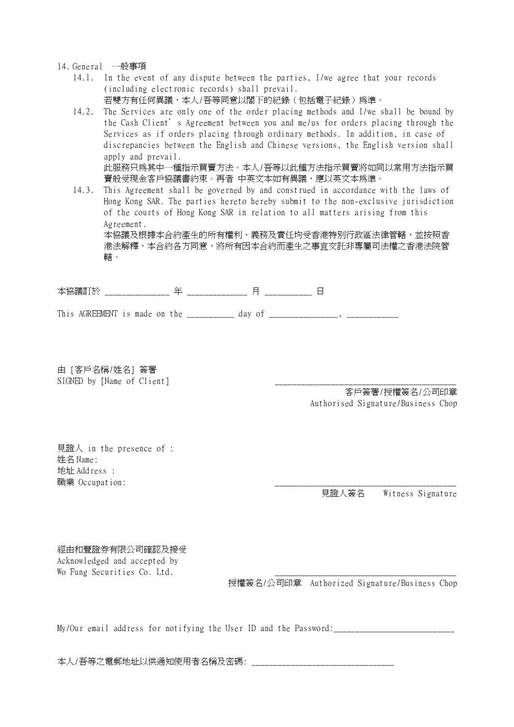- 14. General 一般事項
	- 14.1. In the event of any dispute between the parties, I/we agree that your records (including electronic records) shall prevail. 若雙方有任何異議,本人/吾等同意以閣下的紀錄(包括電子紀錄)爲準。
	- 14.2. The Services are only one of the order placing methods and I/we shall be bound by the Cash Client's Agreement between you and me/us for orders placing through the Services as if orders placing through ordinary methods. In addition, in case of discrepancies between the English and Chinese versions, the English version shall apply and prevail. 此服務只為其中一種指示買賣方法。本人/吾等以此種方法指示買賣將如同以常用方法指示買 賣般受現金客戶協議書約束。再者 中英文本如有異議,應以英文本為準。
	- 14.3. This Agreement shall be governed by and construed in accordance with the laws of Hong Kong SAR. The parties hereto hereby submit to the non-exclusive jurisdiction of the courts of Hong Kong SAR in relation to all matters arising from this Agreement. 本協議及根據本合約產生的所有權利、義務及責任均受香港特別行政區法律管轄,並按照香 港法解釋,本合約各方同意,將所有因本合約而產生之事宜交託非專屬司法權之香港法院管 轄。

本協議訂於 \_\_\_\_\_\_\_\_\_\_\_\_\_\_\_ 年 \_\_\_\_\_\_\_\_\_\_\_\_\_\_ 月 \_\_\_\_\_\_\_\_\_\_\_ 日

This AGREEMENT is made on the day of  $\Box$ ,

由 [客戶名稱/姓名] 簽署 SIGNED by [Name of Client]

客戶簽署/授權簽名/公司印章 Authorised Signature/Business Chop

見證人 in the presence of : 姓名 Name: 地址 Address : 職業 Occupation:

見證人簽名 Witness Signature

經由和豐證券有限公司確認及接受 Acknowledged and accepted by Wo Fung Securities Co. Ltd.

授權簽名/公司印章 Authorized Signature/Business Chop

My/Our email address for notifying the User ID and the Password:

本人/吾等之電郵地址以供通知使用者名稱及密碼: